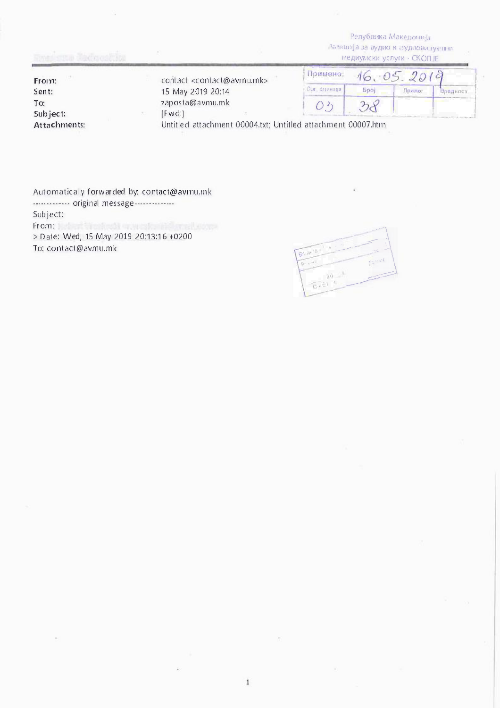**Република Македонија**  $\lambda$ Бевци)а за аудио и аудловизуелни **Медиумски услуги - СКОП ЈЕ** 

|                | <u>the contract of the contract of the state of the contract of the contract of the contract of the contract of the contract of the contract of the contract of the contract of the contract of the contract of the contract of </u><br><b>Медиумски услуги - СКОП ЈЕ</b> |             |             |        |          |
|----------------|---------------------------------------------------------------------------------------------------------------------------------------------------------------------------------------------------------------------------------------------------------------------------|-------------|-------------|--------|----------|
| From:<br>Sent: | contact <contact@avinu.mk><br/>15 May 2019 20:14</contact@avinu.mk>                                                                                                                                                                                                       | Гоимено:    |             |        |          |
|                |                                                                                                                                                                                                                                                                           | Орг единица | <b>Spoi</b> | Припот | dpequoer |
| To:            | zaposta@avmu.mk                                                                                                                                                                                                                                                           |             |             |        |          |
| Subject:       | [Fwd]                                                                                                                                                                                                                                                                     |             |             |        |          |
| Attachments:   | Untitled attachment 00004.txt; Untitled attachment 00007.htm                                                                                                                                                                                                              |             |             |        |          |

Automatically forwarded by: contact@avrnu.mk ------------- original message--------------Subject: From: Lebert Workedd was established and to me > Date: Wed, 15 May 2019 20:13:16 +0200

S,

 $\frac{1}{2}$  > Date: Wed, 15 May 2019 20:13:16 +0200 -�  $0.601$  $\overline{\phantom{a}}$